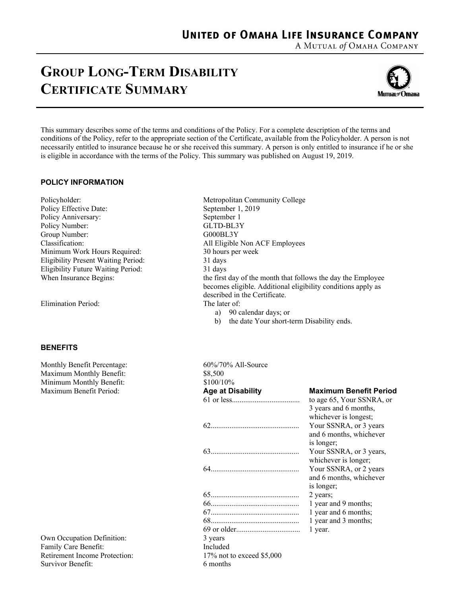A MUTUAL of OMAHA COMPANY

## **GROUP LONG-TERM DISABILITY CERTIFICATE SUMMARY**



This summary describes some of the terms and conditions of the Policy. For a complete description of the terms and conditions of the Policy, refer to the appropriate section of the Certificate, available from the Policyholder. A person is not necessarily entitled to insurance because he or she received this summary. A person is only entitled to insurance if he or she is eligible in accordance with the terms of the Policy. This summary was published on August 19, 2019.

## **POLICY INFORMATION**

Policyholder: Metropolitan Community College Policy Effective Date: September 1, 2019 Policy Anniversary: September 1 Policy Number: GLTD-BL3Y Group Number: G000BL3Y<br>Classification: All Eligible Minimum Work Hours Required: 30 hours per week Eligibility Present Waiting Period: 31 days Eligibility Future Waiting Period: 31 days

Elimination Period: The later of:

## **BENEFITS**

Monthly Benefit Percentage: 60%/70% All-Source Maximum Monthly Benefit: Minimum Monthly Benefit: **Maximum Benefit Period:** 

Own Occupation Definition: Family Care Benefit: Retirement Income Protection: Survivor Benefit:

All Eligible Non ACF Employees When Insurance Begins: the first day of the month that follows the day the Employee becomes eligible. Additional eligibility conditions apply as described in the Certificate.

- a) 90 calendar days; or
- b) the date Your short-term Disability ends.

| 0070/7070 All-SOUICE       |                               |
|----------------------------|-------------------------------|
| \$8,500                    |                               |
| \$100/10%                  |                               |
| Age at Disability          | <b>Maximum Benefit Period</b> |
|                            | to age 65, Your SSNRA, or     |
|                            | 3 years and 6 months,         |
|                            | whichever is longest;         |
|                            | Your SSNRA, or 3 years        |
|                            | and 6 months, whichever       |
|                            | is longer;                    |
|                            | Your SSNRA, or 3 years,       |
|                            | whichever is longer;          |
|                            | Your SSNRA, or 2 years        |
|                            | and 6 months, whichever       |
|                            | is longer;                    |
|                            | 2 years;                      |
|                            | 1 year and 9 months;          |
|                            | 1 year and 6 months;          |
|                            | 1 year and 3 months;          |
|                            | 1 year.                       |
| 3 years                    |                               |
| Included                   |                               |
| 17% not to exceed $$5,000$ |                               |
| 6 months                   |                               |